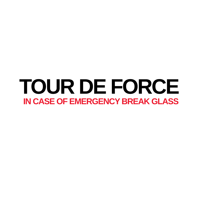# TOUR DE FORCE **IN CASE OF EMERGENCY BREAK GLASS**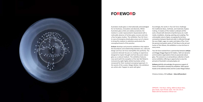

### **foreword**

Australian studio glass is internationally acknowledged for its freshness, innovation and diversity. Whilst Australian glass artists are widely acclaimed, the medium is under-represented in Queensland with a noticeable absence of tertiary glass courses and only a few hot-glass studios. The exhibition *Tour De Force : In case of emergency break glass* arose out of a desire to bring this medium to attention particularly the conceptual branch of the practice.

**Artisan** develops and presents exhibitions that explore the boundaries and relationships between art, craft and design and Tour de Force exemplifies this perfectly. The curatorial rationale focuses on creating an experience designed to inspire thought and fuel discussion about glass as a cultural medium. The exhibition features new work (with the exception of the late Neil Roberts inclusion) by eight highly-skilled Australian artists renowned for their resolved conceptual approach. In the words of the curator, Megan Bottari, the exhibitors are artists who 'happen to work with glass'.

Accordingly, the works in *Tour de Force* challenge the traditional ideas, methods, and materials of glass making. A mastery of the medium underpins all the work, infused with elements of performance art, multimedia, installation, drawing, painting and sculpting. The unknowable nature of glass, occupying the territory somewhere between liquid and solid, is reflected through the use of light, sugar, ice, water and states of flux. From the pensive and poetic works of Trish Roan to the wit and humor of Tom Moore, this exhibition is a tour de force in every sense.

*Tour De Force* evolved from a partnership between **artisan** and Wagga Wagga Regional Art Gallery. Both are dynamic and innovative organisations that are passionate about glass. The outcome is an extraordinary collection of work and an exhibition offering an opportunity to view the pinnacle of Australia's conceptual glass art.

**Artisan** gratefully acknowledges the generous support of Visions of Australia to develop this exhibition. With special thanks to the talented artists and the Curator Megan Bottari.

Chetana Andary, CEO **artisan – idea:skill:product**

OPPOSITE : Trish Roan, *Falling,* 2009-10, Blown Glass, glass beads, rayon thread, water, 40 x 18 x 18 cm. Made with the Assistance of Brian Corr.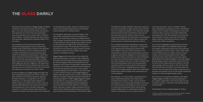During my time as Director of Wagga Wagga Art Gallery I have had a wonderful induction into the world of glass. It is a very seductive world whose practitioners and supporters are some of the most passionate I have encountered in any art world. Glass is indeed a lucky medium - naturally seductive and sexy, lustrous and vulnerable, exploiting the interplay of light, form and colour.

My introduction to this silicon-based field came primarily through getting to know and becoming smitten by the extraordinary richness of the National Art Glass Collection as well as helping to facilitate a number of exhibitions by major Australian glass artists in the National Art Glass Gallery. I admit that before taking the Directorship at Wagga Wagga Art Gallery I had only a passing knowledge of art glass. What I knew about was Australian contemporary art, both Indigenous and non-Indigenous. My experience with the National Art Glass Collection has been a rich learning curve and I have been truly lucky to have had the opportunity to discover this 'other' world.

By way of background Wagga Wagga Art Gallery has been collecting studio glass since 1979. In 1992, the glass collection was formally named the National Art Glass Collection, in recognition of its national significance. It is the largest public collection of studio art glass in Australia and currently consists of approximately 400 works that represent the history and development of the Australian studio glass movement. It includes work by artists who where invited to Australia in the early years of the movement to stimulate glass practice, artists-in-residence from overseas and subsequent generations of Australian artists collected over a 40 year period.

The Australian studio glass movement began in the early 1970s, trailing the American movement by a decade. The Studio Glass movement is different from other art glass movements of the 20th century because it emphasises the artist as designer and maker, focuses on the production of original one-off objects and is international in scope. The studio glass movement in Australia now encompasses a huge number of artistic and stylistic responses to the medium and a wide variety of conceptual interests.

> Kevin Murray, in a recent article<sup>1</sup>, postulated about some relationships between the media-bound and skills-driven world of 'crafts' and the world of contemporary art. The boundaries between these two art worlds have been permeable for many years but he noted that the perceived shift of artists whose medium defines them as craftspeople towards the realm of contemporary art, can now be seen as a

Wagga Wagga was the site of one of the earliest hot glass teaching studios in Australia. It was established at Charles Sturt University, Riverina Campus (formerly the Riverina College of Advanced Education) by John Elsegood in 1978, when the studio glass movement was still young. The hot glass workshop was encouraged by visits from international artists such as Sam Herman and Eva Almeberg in the late 1970s. In June 1979, Judy Le Lievre, the then Director of the Wagga Wagga Art Gallery, with the support of the trustees, committed the Gallery to 'develop a nationally important collection of contemporary glass'. In 1999, Wagga Wagga Art Gallery was relocated to a new purpose built facility which included a separate building specifically designed to house the National Art Glass Collection. The design, which references a splinter of glass, perfectly suits the medium that it showcases and has become one of the most prominent tourist attractions in the Riverina region.

> $1$  Murray, K. 2009 'The party's over, time to do the dishes: Thinking through relational craft' *Art &Australia*, Vol.47 No. 2

### **The glass darkly**

The National Art Glass Collection represents a genuine overview of Australian art glass and the many currents that run through the discipline. The Collection includes works that demonstrate extraordinary technical skill and command over the medium, others that are charming and beautiful and some that are conceptually loaded, that inhabit the world of ideas as well as the sensate world of a particularly seductive medium.

For a collecting institution attempting to capture the context of the studio glass movement, it is important to be cognisant and embracing of current trends and changes in the focus of the movement. In the contemporary world of dissolving disciplinary borders, a rigorous and exclusive allegiance to any discipline or medium seems like an idea that has certain limitations, as is the hoary old binary position between the arts and crafts. However there are a number of tightly held and contested positions within the Australian glass movement and Tour de Force places itself squarely within this discourse, challenging some prevailing models and creating a platform where the relationship between the medium of glass and contemporary art can be explored.

more two-way street. Just as a number of artists have challenged the restrictions of their craft-defined media so too a number of contemporary artists have embraced skills, processes and media traditionally associated with crafts. Ricky Swallow, Fiona Hall and Louise Weaver, to name a few, have all embraced labour intensive, skill-based processes in order to realise their artistic conceptions.

*Tour De Force* highlights this phenomenon. At least three of the artists in the exhibition position their work within contemporary discourses and would not be considered primarily as 'glass' artists. Other artists in the exhibition who do use glass as their primary medium, push at the boundaries of the medium and situate their works within current conceptual, philosophical and political dialogues. They add weight, they go deeper, past the seductive surface lustre into the heart of the matter where the medium is not the only message. There are works in *Tour De Force* that deal with eroticism and death, the environment and science; there are works that employ a pop humour to provoke and entertain; there are works that compel the audience to look thorough the glass darkly.

*Tour de Force* is an important exhibition with which Wagga Wagga Art Gallery is proud and pleased to be a partner organisation. Give me the idea over the ornament any day… in the best of all possible worlds we have both!

Cath Bowdler, Director Wagga Wagga Art Gallery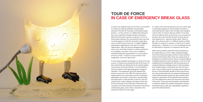It mustn't be imagined that *Tour de Force* is yet another in a long line of group exhibitions purporting to showcase *'the best of'* Australian contemporary glass practice – on the contrary, it is deliberately distanced from such superficial, though standard, hyperbole. What the show does represent, however, is a line of demarcation between the conventional status quo that currently appears to hold the Australian studio glass scene in thrall and our (now ever so slightly flagging) expectations regarding the next wave of creative regeneration. Glass has become disappointingly same-same; and while imitation is clearly considered an acceptable, and often sincere, form of flattery – notwithstanding that appropriation is a post-modern art form in itself – it doesn't, by any stretch of the imagination, enrich the 'gene pool'.

In many ways Australian studio glass is a victim of its own success. A model (even pampered) child of the times, it's been tainted like everything else by the rampant global consumerism of the past decade or so and hooked on that most fateful of homogenizing agents, bourgeois aspiration. The progressive spirit that spawned the pioneer movement in the 1960-70's has been all but suppressed by arch conservatism and the truckling for approbation and (small-f, surely) fame. But patronage has always been a tricky business in the arts, and one suspects that creative integrity will always remain key. So how did we get to the stalemate of derivation and corporate *ennui* that presently characterizes mainstream contemporary glass, and is there a way back to the wonder and the joy? To the magic.

It is rather ironic that the pinnacle of success these days in studio glass appears to be the ability to produce a technically perfect object with the high-street designer cred of, well, of a factory. Because while it's true that skill and craftsmanship are the bones of a successful art practice, *the* most essential element remains elusive and relatively rare – genuine artistic spark. Talent or gift, call it what you will, it's a difficult quality to define. Perhaps it's visionary in essence, or borne of an innate fearlessness – whatever it is, it's not something that can be fabricated or acquired. It's empyreal, like the soul.

When Harvey Littleton started the studio workshops at the Toledo Museum of Art in 1962, and liberated glass from the functional principles and the in-house aesthetic strictures of the factory floor, there was a great sense of daring-do and creative promise. Glass as a material offered a brilliantly expressive visual vocabulary; a rich vein of the metaphorical and metaphysical, with the provenance of a long and illustrious heritage to boot. It had everything, from scholarly rigour to decorative chic. But more than that, it was a medium almost uncannily custom-made for the era. In the psychedelic decade of Fluxus and Process Art, when primal expression and experimental discovery of the material became paramount, glass couldn't fail to appeal to a generation of international artists switched on to the progressive culture and mercurial social climes of the times. It was sexy and immediate, and primed for a makeover. Indeed, the symbolic tearing down of those hierarchical factory walls was undoubtedly a significant part of the initial attraction.



### **Tour de force in case of emergency break glass**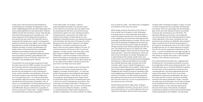You are what you make – and artists have an obligation to be faithful to their own true nature.

Which brings us back to the premise of the show; it's time to break free of the generic mold. Studio glass in Australia has hit a critical watershed, particularly in view of the Global Financial Crisis. The sky has fallen in on the reliable bourse environment that supported the (seemingly invincible) buoyant art market, and the sector now faces the potential of straightened circumstances. This is not to say that the purse is empty, but the good old days of plenty, when literally anything could sell, are over. The market from here on in is likely to be a little less liberally indulgent. Artists will need to reassess their *modus operandi* – apart from anything else, there's the duty of care to the planet to consider. Studio glass has a carbon footprint that, frankly, wouldn't bear close scrutiny and in view of the looming environmental-global warming crisis, it behoves practitioners to reconsider very carefully what they make, and why. And, at the very least, make it count. Instead of banging out a succession of predictably vacuous objects, artists should start to think about engaging both empathetically and intelligently with material to produce something a little more enlightening. Something that inspires us to lofty sentiment, that alerts us to divers ethical imperatives, that expresses the very essence of our being. Because *this* is the role of the arts, is it not? A visual expression of the cultural currency of the day.

Despite being restricted to eight artists, leading to obvious regrettable exclusions, the line up for *Tour de Force* presented less of a curatorial dilemma than one might have anticipated. Because while many people

certainly make 'contemporary objects' in glass, it's quite a stretch to parlay that into a *bone fide* contemporary art practice. There are surprisingly very few Australian glass artists who even attempt, let alone successfully transcend, the contemporary art-craft divide. The attendant difficulty and confusion surrounding this issue arises partly from the continuing dearth of robust critical objectivity in the sector, and partly from the perennial mud wrestling over definition. But semantics aside, it would be fair to say that the participants in this show are considered by many to be 'artist's artists'. All eight have the sort of unique approach to practice that stirs the interest and genuine admiration of their peers – a certain sensibility that unerringly manages to connect all the relevant dots. It's an indefinable quality that catches our breath and creates a shift, however modest, in the collective consciousness. The curatorial brief to the artists was…singularly brief. Do what you do. This would be constrained, of course, by considerations of the space and group dynamic - but essentially there was no curatorial interference apropos the work itself. To have exerted any would have been counterproductive, and quite inappropriate given the nature of the project. *Tour de Force* is not a show predicated on commercial considerations. Nor was it the usual curatorial 'cruise by' and choice of existing work from the various participants' studios – because no matter how recent the piece, once it's been resolved to the satisfaction of the artist, he or she has already mentally moved on. It was somehow important for the tenor of this show, in the interests of authentic contemporary relevance, that the work should be freshly minted, specifically for the exhibition. This presented

In later years, when the primacy (and discipline) of craftsmanship was reinstated, the 'gloopiness' of the earlier, trailblazing generation was often disparaged amid furious debate ignited by an early observation, made by Littleton himself, that 'technique is cheap.' (He'd actually only meant that technique was accessible to all – that it was instead the artist's idiosyncratic sensitivity to the material that was critical. The craft buffs chose to misinterpret the statement as a goad<sup>i</sup>.) A retrospective tendency to dismiss the early 'organic' work of the studio glass pioneers as merely undisciplined and unskilled cavalierly overlooks, of course, the philosophic and stylistic *milieu* of the period (and the unmistakable playfulness and exuberance that went with the territory.). It was an era of significant political upheaval and socio/cultural revolution, aptly reflected in the typical plasticity of the art of the time. (And if you can't remember it you probably weren't there!)

The pendulum has now perhaps swung too far back the other way. From the 1980's onwards, the concerted push towards technique and professional practice has been a little too successful. Marketability has become the overriding focus of the contemporary scene, and the relentless commodification of the arts has driven the glass sector practically straight back to its manufacturing roots – to a narrow, productionline mentality. High end virtuosity, without doubt, but calculated commercial product nonetheless. This, of course, is not problematic in itself provided that there is a very clear, and realistic, understanding of the art and craft differential. Because, while there is arguably no intrinsic superiority in either, both – though symbiotic – are fundamentally very distinct propositions.

To the wider public, all 'art glass' is (almost indiscriminately) fascinating. The seductive power of the material is consummate. But one expects that the practicing artist will have more technical savvy, and therefore ought to be more critically perceptive. Familiarity breeds…discernment. No matter how proficient the imitators of Dante Marioni or Lino Tagliapietro ultimately become, such patently derivative work will always lack the lustre of the genuine article. Not because any less skill is required, or the degree of difficulty is in question, but because the work doesn't have any real creative integrity of its own. It's a technical exercise with barely a hint of a personal signature. To make a proper mark these days, studio glass needs an indelible stamp of unmistakable individuality – and the reinvention of this well-worn wheel is becoming an increasingly rare achievement. Part of the problem is the lack of risk. When artists opt for the safety of the shallow, commercial end of the pool there's not likely to be much splash.

It's time to redress the balance and re-introduce the development of strong conceptual practices that engage on a broader, humanist level – in a way that pushes the boundaries and intelligently interrogates the art-craft dichotomy. In other words, it's time to encourage the upcoming generation of glass artists to spread their wings and start considering their work in terms of a serious contemporary art practice. They need to get out and get funky with it. Perhaps this is where things have gone awry. A culture of accelerated maturity has been allowed to develop – resulting in a whole generation of glass artists starting out as ponderous sophisticates. It's all too artificial. Too stilted.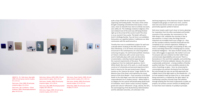quite a leap of faith for all concerned, not least the organising and funding bodies. The status of the artists brought competing commitments that would, in most cases, mean an eleventh hour start on entirely new work, *sans* safety net. The challenge created an edginess of its own (indeed most of the work was still being finished right up to the arrival of the courier truck!) This show is so *au courant* it has a pulse. The body's still warm. And it's thrillingly familiar. *Tour de Force* is an exhibition that pushes our cognitive buttons. It addresses our daily communion with the world around us.

Timothy Horn was an established sculptor for well over a decade before studying at the ANU School of Art Glass Workshop, so to all intents and purposes he was ensconced in the contemporary art camp long before venturing into glass. His well-honed aesthetic interlaces art historic references with current social mores, and he habitually plays with scale and decorative ornamentation, selecting material appropriate to the nuanced requirements of the piece. Though a departure from his trademark opulence, Horn's *White Death*, like much of his work, is a multi-layered construct of scholarship and personal experience (he's lived in America for the past several years.) Based loosely on the 'claveras de azúcar' (sugar skulls) for the Mexican Day of the Dead, and inspired by the visual lexicon of the Grim Reaper – from ossuaries to the Black Death to the Jolly Roger, even (this last referencing the unprecedented rise in modern piracy) – *White Death* is an allegory for the cyclical self-perpetuating death knell of civilization. Horn's doom comes courtesy of global greed and cultural 'refinement'. Drugs, obesity, the GFC, the warmongering of the Bush/Cheney Administration and the attendant atrocities, all culminate in the

declining hegemony of the American Empire. Mankind metaphorically gorges on itself once more, and the

skull and cross-bones remain an ever powerful and perennially apposite symbol of alarum. Deb Jones treads a path much closer to home; gleaning her inspiration from the often overlooked and humble moments of the everyday. Her monuments to 'the little things in life' celebrate the minutiae of day to day existence. In Jones's view, the things that are important are incredibly hard to put a finger on – they are the countless ordinary moments that build into the complexity of our common experience. Making is a means of solidifying a thought, of actualising an idea, and Jones's overriding interest lies in finding ways to convey emotional intelligence – the value of which society, in the main, still struggles to appreciate. *My mother's arm* and *To everyone who ever smiled at me that I didn't know* commemorate dependability and concord. There's a benevolence in the work that's palpable, and comforting. Reminiscent of Victorian alabaster statuary, the casts are unashamedly sentimental – a loving rendition of familiar qualities held dear. The same sensibility extends to the series of paintings on glass – here, by romancing the commonplace she extracts the beauty from the banal. But only through her eyes can we fully appreciate the unlikely charm of the light switch or the wheelie bin  $-$  it's as if we needed to have her draw it for us. Jones avoids being restricted to, or defined by, the 'glass object' by maintaining a practice of broad scope. But whether through drawing (her first love) or glasswork or public art projects, her primary concern remains an abiding truth to more than mere material; it's probity to principle.



ABOVE (L - R) : Deb Jones, *Stop Light*, 2009, Oil and spray enamel on glass, 9.5 x 9.5 cm

Deb Jones, *Chair*, 2009, Oil and spray enamel on glass, 12 x 19 cm

Deb Jones, *Life is Ordinary – Good Ordinary,* 2009, Oil and spray enamel on glass, 14 x 15.5 cm

Deb Jones, *Datsun 1200,* 2009, Oil and spray enamel on glass, 18.5 x 21 cm Deb Jones, *Smokes,* 2009, Oil and spray enamel on glass, 14.5 x 20 cm Deb Jones, *Bins*, 2009, Oil and spray enamel on glass, 18.5 x 30.5 cm

Deb Jones, *Puppy*, 2009, Oil and spray enamel on glass, 26.5 x 34 cm

Deb Jones, *Power Switch*, 2009, Oil and spray enamel on glass, 8.5 x 24.5 cm Deb Jones, *Dentist,* 2009, Oil and spray enamel on glass, 12.3 x 12.5 cm *Match Box*, 2009, Oil and spray enamel on glass, 9 x 10 cm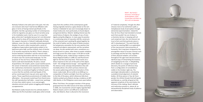of 'material complexity', though she often chooses more of an alchemist's path; a metaphysical study of perception through elemental experimentation. Indeed for *Tour de Force* Roan had intended to include work that wouldn't be out of place in a chemistry lab but, in keeping with all such empirical trials, the risk inherent ran true to form and that particular piece is still 'in development'. The work that did survive her exacting R&D is an exploration of the macrocosmic interconnection of humanity. She's long been intrigued by the precognitive nature of arcane sciences such as astrology and the fact that, regardless of their physical isolation, all societies throughout the ages have devised almost identical ways of interpreting the heavens, of navigating by the stars. In *Wayfinding*, which alludes to a voyage of personal discovery, the points of reference drop from a configuration of constellations visible in the October night sky. The seemingly indecipherable is unlocked by a predetermined alignment of celestial bodies. All three pieces in *Tour de Force* ponder the infinite threads that both guide and liberate us, and like all good art the apparent simplicity of the work belies the intricacy of the making. Roan's delicate and meticulous practice is, above all, an extraordinarily disciplined study of patience and observation.



Nicholas Folland is the wild card in this pack. He's the one inclusion who hasn't had formal affiliation with glass in terms of having trained specifically in the discipline. But like a growing number of contemporary artists he regularly uses glass as a focal narrative prop in his installation work. And he uses it in a way that glass artists don't (probably because he's not distracted by the need to show-off his technical prowess.) Glass is the support character in Folland's habitually dramatic tableaux, never the diva. Invariably embracing potential disaster, his work is often invested with a sense of vertiginous hyperrealism (particularly evident in his bathroom piece *Raft*, and the nihilistic slant of *Anchor (1-5)* recently acquired by the MCA.) There's always a tension between 'civilization' and the natural order, and an enduring fascination with the re-encroachment of nature over the constructed landscape. For the purposes of *Tour de Force*, Folland (like Horn) has had to scale back dramatically. His piece, *Casual Acquaintance: the Sceptic*, packs a quasi-tasteful punch; the veneer of domestic social pretension barely hides the rudimentary mechanisms required to maintain it. There's often an emotional fragility to Folland's work, a sense that the carefully contrived façade of this ad hoc social experiment may yet come apart at the seams. Those superficial accoutrements of middle-class affectation – the pressed crystal bowl from David Jones, the naff reproduction hall table – reveal inner workings of a less than stylish nature, in an overwrought, obsolete and jerry-built system struggling with keeping up appearances.

Neil Roberts (sadly missed since his untimely death in 2002) was the first Australian studio glass artist to break away from the confines of the contemporary guild. Having originally trained as a glass-blower at the Jam Factory in Adelaide he was soon increasingly drawn to mixed media and, more particularly, to found objects and general detritus. Roberts' abiding interest was the social history of objects; the vestiges of use, of stoic dignity and gritty diligence. In many ways his practice is a continuing series of masculine still life; constructs of the universal man's working life, glued together by the smell of leather and the sweat of blokie emotion. He had genuine veneration for the very exertion that material and objects represented, and the narratives ran deep. He also worked with neon; sometimes as a lyrical accent to a piece, other times as poetic notations writ large across the urban-scape. In the *BA na na BA na na MAN go* series, made during a residency at the Noosa Regional Gallery in 1998, he used fluorescent light for the first (and only) time. These works are a direct response to the sum of the parts of the object itself – the vintage banana lounge – and regardless of the obvious iconic and pop interpretations they will inevitably attract, the artist's primary interest was the woven patterning and formal minimalism of this classic ready-made. *BA na na BA na na MAN go* is a composition of rhythm and light; from the cool fluoro to the title of the piece, which references folk drum rhythms picked up by Roberts during a residency at ART-LAB, Manila, in the Philippines some seven years before.

When Trish Roan, the youngest member of the group, graduated from the ANU School of Art Glass workshop in 2006, she received the school's highly regarded Neil Roberts Award, and it's not difficult to understand why. Like Roberts, Roan is attuned to the resonance

#### RIGHT : *My Family's Souvenirs: Uncle Barry/ Auntie Barbara,* 2010, Carved Glass and Glass Jar, 18.5 x 8.5 cm diameter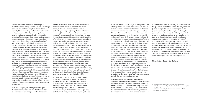moral conundrums of surprisingly epic proportion. The latest episode in the Cirque d'aMoore is dedicated to birds of every conceivable feather. There is, of course, an established historic precedent for glass birds but Moore, in his inimitable fashion, has side-stepped the obvious and given the birds his signature humanoid make-over. *I Notice Birds* runs the gamut of glass and art references – from the shamanistic motifs of Eskimo art to Lalique to the kitsch lamp-blown 'shopping-mall' swan barometers, even – and like all the forerunners it's eminently collectible. But although Moore can turn a fine goblet or crank out yards of reticello with the best of them (he's been the production manager at the JamFactory Craft and Design Centre in Adelaide for the last decade) his personal interest doesn't lie in conventional ideals of beauty or perfection. He's drawn to characterization. Birds, he observes, may be cute but they're never quite friendly or warm. On the contrary they're beady eyed and prone to pecking (and, ergo, potentially fairly dangerous.) Traditional representations of birds in art are imbued with a certain stylistic grace – Moore's cast of players tends instead to be unruly and bogan, god love 'em. His installations invariably constitute a crowd, a deftly comedic party piece that celebrates the joy of craft and demonstrates that playfulness is serious business too.

> Joan Falconer Byrd's interview with Harvey K Littleton http:// www.aaa.si.edu/collections/oralhistories/transcripts/ little01.htm

All eight maintain practices that are excitingly innovative conceptually and uncompromisingly singular. What they do have in common is the artistic integrity and the courage and commitment to forge their own creative paths, and while paying all due deference to the master craftsmanship that necessarily underpins their practices, none allow themselves to be defined by

it. Perhaps even more importantly, all have maintained the generosity of spirit that echoes the early vocational (almost evangelistic) nature of the original studio glass movement; the dedication, the nurturing, the genuine love for the craft (without being obsessively enslaved by it). Somehow they have the ability to fine tune all of the salient elements and move beyond static representation to an extension of life itself. They plug us all into the common mystery. The work may be variously gestural, lyrical, or emotive, it may embrace social issues and rattle the cage, it may merely provide the whisper of a nudge – but whatever the manifestation, it resonates. It makes us stop and think, it coaxes us to re-examine our value systems, it asks us "will you be, can you be, receptive?" It fulfils, in other words, the proper function of contemporary art.

Megan Bottari, Curator *Tour De Force*

ii Giovanni Boccaccio, The Decameron, published c1353

iii Concise Oxford Dictionary

*Vanitas* (a collection of objects chosen and arranged as a reminder of the transience and uncertainties of life.) If she had a trademark 'look' it would be a certain languid elegance (with just a hint of Victorian mourning.) Her work often speaks of yearning and regret, of resignation and loss. Her medium of choice is borosilicate, or scientific, glass; the material qualities of which convey all manner of appropriate metaphoric similes. Above all it also provides the alchemic edge, and the corresponding allusions that go with that particularly intellectually loaded territory. *Involution* is classic Gropp, in mere definition alone:' involvement, intricacy, entanglement<sup>iii</sup>.' But of course there's so much more. The beads (again, shades of Victorian jet) visibly mark/string together moments of lost time, of missed opportunity. The archaic symbolism of the knot signifies both connection and continuum, regardless of personal (physiological and psychological) failing. The ampoules represent containment (of both body and emotion) and carry a swag of related medical inferences; not the least being material inertia. This delicately realized flame worked piece is like an exquisitely composed sigh, barely more corporeal than the graphite shading that underscores it. It's a beautifully understated piece, a dignified surrender to the vicissitudes of life.

But wait, there's more; Tom Moore, who has long broken with convention to evolve a wonderfully eccentric practice that runs more along the lines of 'the theatre of the absurd'. It's a practice that is nothing short of a phenomenon – a mixed media construct amply laced with wit and 'alternative' wisdom. His imaginative narratives and his growing cast of unlikely protagonists (enviro-hybrids, all) pose

Ian Mowbray, on the other hand, is anything but celestially esoteric, though his work is no less painstakingly executed. Not one to shy away from the most basic of instincts, Mowbray has long positioned himself squarely in the garden of earthly delights. His long established practice has been an erotic exploration of the lustier thematic of death, sex and the universe, and in a medium that generally caters obsequiously to the genteel and conservative classes, the sheer carnality of Mowbray's work has always been refreshingly provocative. He's the Nick Cave of glass; the satyric bad boy of the pack, drawing the viewer into a strangely closeted moment of faintly perverse, voyeuristic intimacy. *Souvenirs of My Family* represent a convergence of Mowbray's two distinct bodies of work to date the signature, 'gender ambiguous' blocks and his more recent snow-dome series – and herald a new phase in his classically *Decameron-esque*ii oeuvre. Mowbray serves it up, warts and all, in an 'adults only' slice of private contemporary life that inverts the conventional spectacle of glass into something almost indecently personal, and undeniably familiar. And this is key – the vulgarity and entendre is our common bond and, whether we're prepared to admit it or not, we instinctively know the circumstances of these preserved narratives. It's the chronicle of Everyman: the vulnerabilities, the imperfections, the broken dreams. For those who may not be aware, Mowbray spends unimaginable hours handcarving all of his work (with tiny diamond files) – so in the parlance of his idiosyncratic practice, these works are one serious hand job.

Jacqueline Gropp is, essentially, a lyricist in glass. More specifically, she works in a style that invokes the melancholic assemblages of sixteenth century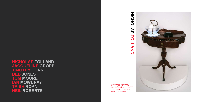**NICHOLAS FOLLAND JACQUELINE GROPP TIMOTHY HORN DEB** JO **TOM MOORE<br>IAN MOWBRAY IRISH ROAN NEIL ROBERTS** 



RIGHT : *Casual Acquaintance – The Septic,* 2010, Timber side table, refrigeration unit, crystal bowl, linen doily, 12v LED light, timber plinth, 110 x 75 x 50 cm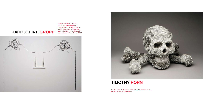## **JAcQUELINE GROPP**

BELOW : *Involution*, 2009-10, Hot formed borosilicate glass, pharmaceutical ampoules, graphite, pencil, Indian ink, glass beads and water, 188 x 130 x 55 cm. Made with the assistance of Peter Minson of NSW





## **TIMOTHY HORN**

ABOVE : *White Death*, 2009, Crystalized Rock Sugar, foam-core, hot glue, varnish, 40 x 63 x 40 cm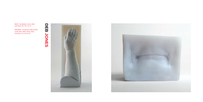**DEB**

**JONES**





FAR RIGHT : *To Everyone Who Smiled at Me That I Didn't Know,* 2010, Cast Glass, 12 x 14 x 9 cm

RIGHT : *My Mother's Arm,* 2010, Cast Glass, 40 x 15 x 12 cm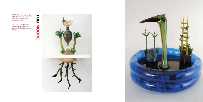



RIGHT : *Contemporary Epergne,*  2009, Blown & solid glass, wood, steel, glue and bottle caps, 46 x 19 x 76.5 cm

FAR RIGHT : *Pond Life,* 2009, Inflatable pond, sheet glass, blown and solid glass, tin cans, 60 x 70 cm diameter

MOORE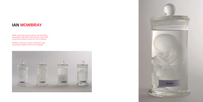## **IAN MOWBRAY**

below : *My Family's Souvenirs Series: (L-R) Uncle Barry/ Auntie Barbara, My Brother*, *We're All Here, A Lover,* 2010, Carved Glass and Glass Jar, each 18.5 x 8.5 cm diameter

opposite : *My Family's Souvenirs: My Brother*, 2010, Carved Glass and Glass Jar, 18.5 x 8.5 cm diameter



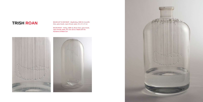**TRISH ROAN** BELOW LEFT & FAR RIGHT : *Wayfinding, 2009-10, Scientific*<br>Glass, glass beads, rayon thread, water, 33 x 17 x 17 cm

BELOW RIGHT : *Falling,* 2009-10, Blown Glass, glass beads, rayon thread, water, 40 x 18 x 18 cm. Made with the Assistance of Brian Corr





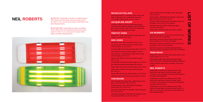#### **NICHOLAS FOLLAND**

*Casual Acquaintance – The Septic,* 2010, Timber side table, refrigeration unit, crystal bowl, linen doily, 12v LED light, timber plinth, 110 x 75 x 50 cm

#### **JACQUELINE GROPP**

*Involution*, 2009-10, Hot formed borosilicate glass, pharmaceutical ampoules, graphite, pencil, Indian ink, glass beads and water, 188 x 130 x 55 cm. Made with the assistance of Peter Minson of NSW

#### **TIMOTHY HORN**

*White Death*, 2009, Crystalized Rock Sugar, foam-core, hot glue, varnish 40 x 63 x 40 cm

### **DEB JONES**

*My Mother's Arm*, 2010, Cast Glass, 40 x 15 x 12 cm *To Everyone Who Smiled at Me That I Didn't Know,*  2010, Cast Glass, 12 x 14 x 9 cm

*Stop Light*, 2009, Oil and spray enamel on glass, 9.5 x 9.5 cm

*Chair*, 2009, Oil and spray enamel on glass, 12 x 19 cm *Life is Ordinary – Good Ordinary,* 2009, Oil and spray enamel on glass, 14 x 15.5 cm

*Datsun 1200,* 2009, Oil and spray enamel on glass, 18.5 x 21 cm

*Smokes,* 2009, Oil and spray enamel on glass, 14.5 x 20 cm *Bins*, 2009, Oil and spray enamel on glass, 18.5 x 30.5 cm

*Puppy*, 2009, Oil and spray enamel on glass, 26.5 x 34 cm *Power Switch*, 2009, Oil and spray enamel on glass, 8.5 x 24.5 cm

*Dentist,* 2009, Oil and spray enamel on glass, 12.3 x 12.5 cm *Match Box*, 2009, Oil and spray enamel on glass, 9 x 10 cm

#### **TOM MOORE**

*Prank Through The Looking Glass*, 2009, Blown & solid glass, wood, steel, glue, 40 x 19 x 67 cm

*Intrepid Explorer Camp,* 2009, Blown & solid glass, electric lamp, 42 x 19 x 27.5 cm

*Diving Bird,* 2009, Blown & solid glass, wood, steel, glue, 52.5 x 19 x 53.5 cm

*Contemporary Epergne,* 2009, Blown & solid glass, wood, steel, glue and bottle caps, 46 x 19 x 76.5 cm

### **NEIL ROBERTS**

- *Armour,* 2009, Blown & solid glass, wood, steel, glue, 58 x 19 x 50 cm
- *Good Compost,* 2009, Blown & solid glass, wood, steel, glue and fake moss, 34 x 14 x 18 cm
- *Pond Life,* 2009, Inflatabe pond, sheet glass, blown and solid glass, tin cans, 60 x 70 cm diameter
- *Wearable Glass Bird Helmet,* 2009, Blown glass, 35 x 24.5 cm diameter
- *I Notice Birds,* 2009, DVD video, Dimensions variable

### **IAN MOWBRAY**

- *My Family's Souvenirs: A Lover*, 2010, Carved Glass and Glass Jar, 18.5 x 8.5 cm diameter
- *My Family's Souvenirs: We're All Here*, 2010, Carved Glass and Glass Jar, 18.5 x 8.5 cm diameter
- *My Family's Souvenirs: My Brother*, 2010, Carved Glass and Glass Jar, 18.5 x 8.5 cm diameter
- *My Family's Souvenirs: Uncle Barry/Auntie Barbara,*  2010, Carved Glass and Glass Jar, 18.5 x 8.5 cm diameter

### **TRISH ROAN**

- *Wayfinding,* 2009-10, Scientific Glass, glass beads, rayon thread, water, 33 x 17 x 17 cm
- *Falling,* 2009-10, Blown Glass, glass beads, rayon thread, water, 40 x 18 x 18 cm. Made with the Assistance of Brian Corr.
- *Jumper***,** 2009-10, Stop-motion animation, Dimensions variable
- *Untitled (BA na na BA na na MAN go Series)*, 2000, Plastic and metal object, fluorescent tubes, wood, 57 x 183 x 7.5 cm. Courtesy of the Estate of Neil Roberts and Helen Maxwell Gallery
- *Untitled (BA na na BA na na MAN go Series),* 2001, Plastic and metal object, fluorescent tubes, wood, 57 x 183 x 7.5 cm.Courtesy of the Estate of Neil Roberts and Helen Maxwell Gallery
- *Untitled (BA na na BA na na MAN go Series),* 1998, Plastic and metal object, fluorescent tubes, wood, 57 x 183 x 7.5 cm.Courtesy of the Estate of Neil Roberts and Helen Maxwell Gallery

**Contract LIST OF Contract Contract**  $\boldsymbol{\omega}$  $\sim$  $\mathbf O$ Ť **NO WORKS** スス  $\boldsymbol{\omega}$ 

### **NEIL ROBERTS**

BELOW TOP: *Untitled (BA na na BA na na MAN go Series),*  2001, Plastic and metal object, fluorescent tubes, wood, 57 x 183 x 7.5 cm. Courtesy of the Estate of Neil Roberts and Helen Maxwell Gallery

BELOW BOTTOM: *Untitled (BA na na BA na na MAN go Series),* 1998, Plastic and metal object, fluorescent tubes, wood, 57 x 183 x 7.5 cm. Courtesy of the Estate of Neil Roberts and Helen Maxwell Gallery

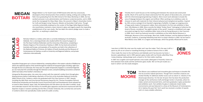**D**<br>**M** TH<sub>3</sub> **HORN**

Q **gropp jac** 刀  $\overline{\mathbf{O}}$ **queline**

### **TOM MOORE**

**deb jones**

Jacqueline Gropp grew up in a house sheltered by a weeping willow in the eastern suburbs of Melbourne where she explored aspects of the world through the material of transparent glass including: night stars through the lens of a telescope; the many eyes of a spider temporarily trapped in a converted Vegemite jar; too many bad 70's comedies through the television screen; and pink bubbling concoctions contained within test tubes of her brother's chemistry set.

Intrigued by Muranese glass, she came into contact with the material's molten form through glass blowing lessons before undertaking a Bachelor of Fine Arts at the Australian National University (ANU) School of Art, Canberra, where she graduated with First Class honours in 1997. Awards including the ANU Peter and Lena Karmel Anniversary Award for Art, Thomas Foundation Pilchuck Professional Scholarship and Australia Council Visual Arts/Craft Fund Development Grant allowed her to travel to New Zealand, Japan, Italy, the Netherlands and USA where she was able to exhibit, study and undertake research into the history of scientific glass apparatus and become enamoured with the depiction of glass in western painting and the films of Andrei Tarkovsky. She currently lives and works in Canberra where she sporadically creates works for public scrutiny.

I was born in NSW. My sister was the reader and I was the maker. That's the way it still is. I spent my 20's at art school or travelling finishing at Canberra School of Art in 1992.

I then made the move to the JamFactory and Adelaide and it has become my home. I became a glassblower and in 1995 opened a glass studio with my friends called Blue Pony. I enjoy drawing, making design work, artwork or for that matter anything.

In 2007 Jess Loughlin and myself opened a new studio called gate 8. Presently I share my time between that studio and the JamFactory glass studio. We run the jam studio as a team in which I am the studio designer.

### **megan BOTTari**

Megan Bottari is a Far South Coast of NSW based artist who has consciously developed a three-tiered practice that combines making, writing and curating in the field. Since graduating from the ANU School of Art Glass Workshop in 2004, she has worked variously in arts administration and freelance curatorial practice, and in 2006 wrote the monograph for *Klaus Moje: Glass*, the second in Object's (Australian Centre for Craft and Design) *Living Treasures: Masters of Australian Craft* series. Though currently contentedly employed as the curator of the Bega Valley Regional Gallery, she nevertheless maintains a keen interest in glass and eagerly awaits the impending establishment of her own studio. She has taken the solemn pledge never to make a glass fish…or anything in cobalt blue.

Nicholas Folland is a restless artist who is currently holidaying in his birthplace, Adelaide. He is a Samstag Scholar who studied within the research program at the Piet Zwart Institute Rotterdam and the University of Barcelona, completing a Masters Degree at The University of Sydney in 2009. He has lived and worked in Australia and Europe, and examples of his practice are held in the collections of the National Gallery of Victoria, Art Gallery of South Australia and the Museum of Contemporary Art Sydney, as well as University and Regional Galleries, and private collections internationally.

Timothy Horn's work focuses on the meeting point between the natural and constructed worlds. Much of his work has drawn extensively from the sphere of decorative arts, concerned with the inherent/assigned gendering of objects. More recent work attempts to locate the area of slippage between the organic and artificial. Often working at an ambitious scale, he chooses to work with materials for their inherent physical and metaphorical qualities. Inspired by 19th-century zoologist Ernst Haeckel's engravings of jellyfish, he began an ongoing series of large works made of transparent rubber, that culminated in his first solo exhibition in New York, *Villa Medusa* in 2006. More recently the fabled "Amber Room" belonging to Catherine the Great of Russia, considered "the eighth wonder of the world", inspired a crystallized rock sugar encrusted carriage for Horn's exhibition *Bitter Suite* at the de Young Museum in San Francisco in 2008. Horn's work has featured recently in exhibitions at the Andy Warhol Museum in Pittsburgh, Museum of Arts and Design, New York, GoMA, Brisbane, and the National Gallery of Australia, Canberra. A Samstag Fellowship took Horn to study in Boston in 2002. He has lived in New Mexico since 2006. It is a region and landscape, which has greatly influenced his work.

> Tom Moore uses traditional and innovative glass techniques to breathe life into his eccentric hybrid specimens. Though Tom's inventive creatures are mostly friendly, he addresses darker issues such as nature vs. industry in his dreamscape dioramas. For the last 10 years Tom has been the production manager at the JamFactory Craft and Design Center in Australia, where he makes varied commissioned items, and trains graduates in glass production and exhibition work. Tom exhibits his glass in elaborate mixed media environments and was featured in a show at the Museum of Contemporary Art in Sydney this past Fall. Tom's work has received a number of awards and is in many notable collections.